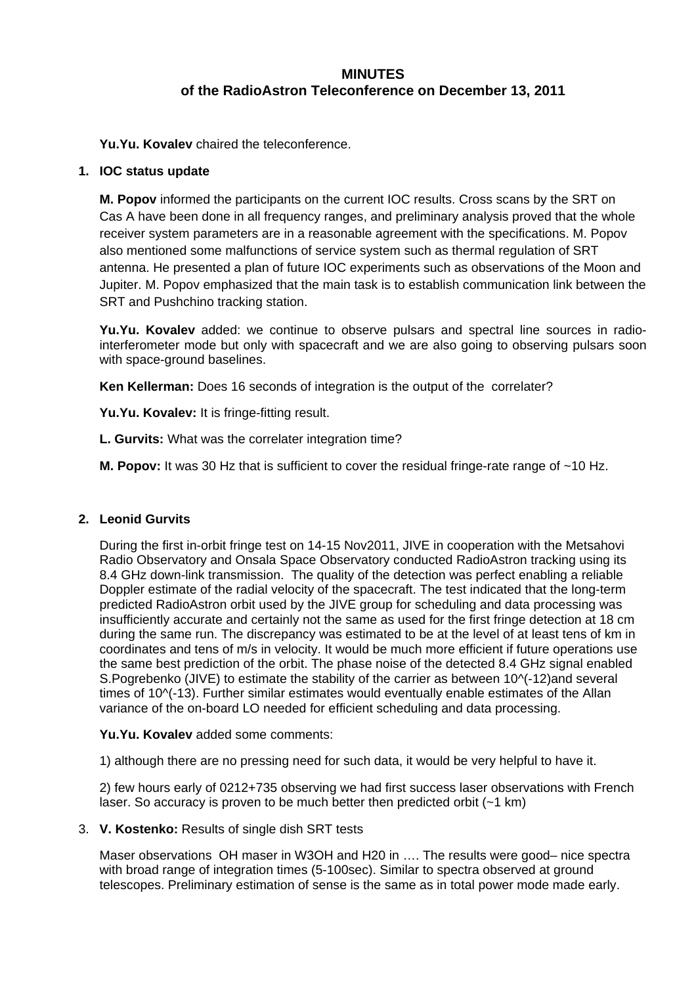# **MINUTES of the RadioAstron Teleconference on December 13, 2011**

**Yu.Yu. Kovalev** chaired the teleconference.

# **1. IOC status update**

**M. Popov** informed the participants on the current IOC results. Cross scans by the SRT on Cas A have been done in all frequency ranges, and preliminary analysis proved that the whole receiver system parameters are in a reasonable agreement with the specifications. M. Popov also mentioned some malfunctions of service system such as thermal regulation of SRT antenna. He presented a plan of future IOC experiments such as observations of the Moon and Jupiter. M. Popov emphasized that the main task is to establish communication link between the SRT and Pushchino tracking station.

**Yu.Yu. Kovalev** added: we continue to observe pulsars and spectral line sources in radiointerferometer mode but only with spacecraft and we are also going to observing pulsars soon with space-ground baselines.

**Ken Kellerman:** Does 16 seconds of integration is the output of the correlater?

**Yu.Yu. Kovalev:** It is fringe-fitting result.

**L. Gurvits:** What was the correlater integration time?

**M. Popov:** It was 30 Hz that is sufficient to cover the residual fringe-rate range of ~10 Hz.

## **2. Leonid Gurvits**

During the first in-orbit fringe test on 14-15 Nov2011, JIVE in cooperation with the Metsahovi Radio Observatory and Onsala Space Observatory conducted RadioAstron tracking using its 8.4 GHz down-link transmission. The quality of the detection was perfect enabling a reliable Doppler estimate of the radial velocity of the spacecraft. The test indicated that the long-term predicted RadioAstron orbit used by the JIVE group for scheduling and data processing was insufficiently accurate and certainly not the same as used for the first fringe detection at 18 cm during the same run. The discrepancy was estimated to be at the level of at least tens of km in coordinates and tens of m/s in velocity. It would be much more efficient if future operations use the same best prediction of the orbit. The phase noise of the detected 8.4 GHz signal enabled S.Pogrebenko (JIVE) to estimate the stability of the carrier as between 10^(-12)and several times of 10^(-13). Further similar estimates would eventually enable estimates of the Allan variance of the on-board LO needed for efficient scheduling and data processing.

## **Yu.Yu. Kovalev** added some comments:

1) although there are no pressing need for such data, it would be very helpful to have it.

2) few hours early of 0212+735 observing we had first success laser observations with French laser. So accuracy is proven to be much better then predicted orbit  $(-1 \text{ km})$ 

## 3. **V. Kostenko:** Results of single dish SRT tests

Maser observations OH maser in W3OH and H20 in …. The results were good– nice spectra with broad range of integration times (5-100sec). Similar to spectra observed at ground telescopes. Preliminary estimation of sense is the same as in total power mode made early.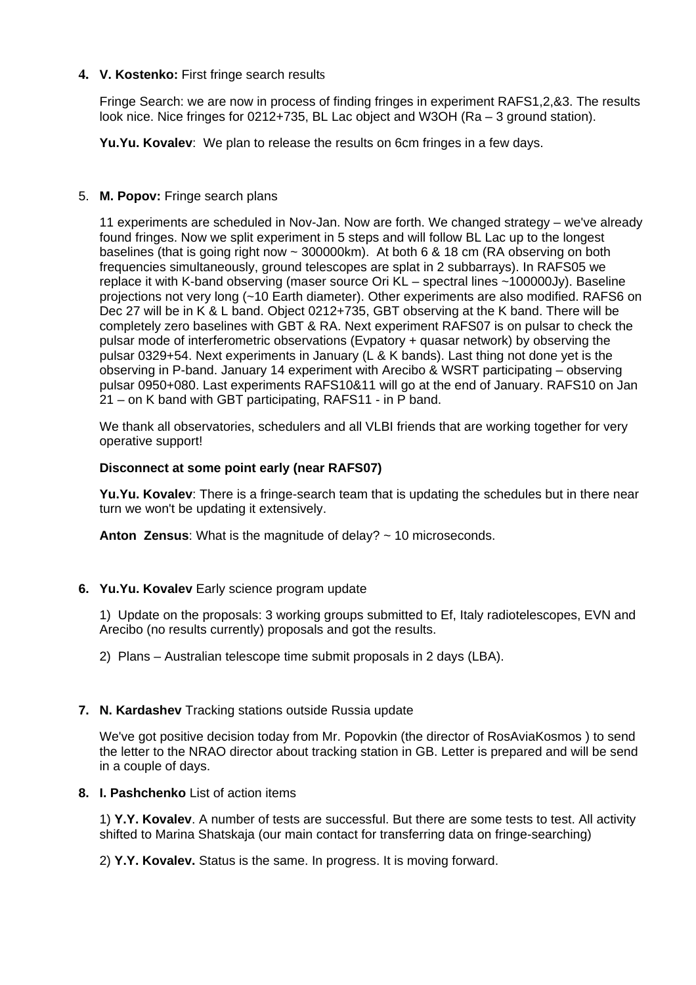# **4. V. Kostenko:** First fringe search results

Fringe Search: we are now in process of finding fringes in experiment RAFS1,2,&3. The results look nice. Nice fringes for 0212+735, BL Lac object and W3OH (Ra – 3 ground station).

**Yu.Yu. Kovalev**: We plan to release the results on 6cm fringes in a few days.

## 5. **M. Popov:** Fringe search plans

11 experiments are scheduled in Nov-Jan. Now are forth. We changed strategy – we've already found fringes. Now we split experiment in 5 steps and will follow BL Lac up to the longest baselines (that is going right now ~ 300000km). At both 6 & 18 cm (RA observing on both frequencies simultaneously, ground telescopes are splat in 2 subbarrays). In RAFS05 we replace it with K-band observing (maser source Ori KL – spectral lines ~100000Jy). Baseline projections not very long (~10 Earth diameter). Other experiments are also modified. RAFS6 on Dec 27 will be in K & L band. Object 0212+735, GBT observing at the K band. There will be completely zero baselines with GBT & RA. Next experiment RAFS07 is on pulsar to check the pulsar mode of interferometric observations (Evpatory + quasar network) by observing the pulsar 0329+54. Next experiments in January (L & K bands). Last thing not done yet is the observing in P-band. January 14 experiment with Arecibo & WSRT participating – observing pulsar 0950+080. Last experiments RAFS10&11 will go at the end of January. RAFS10 on Jan 21 – on K band with GBT participating, RAFS11 - in P band.

We thank all observatories, schedulers and all VLBI friends that are working together for very operative support!

#### **Disconnect at some point early (near RAFS07)**

**Yu.Yu. Kovalev**: There is a fringe-search team that is updating the schedules but in there near turn we won't be updating it extensively.

**Anton Zensus**: What is the magnitude of delay? ~ 10 microseconds.

## **6. Yu.Yu. Kovalev** Early science program update

1) Update on the proposals: 3 working groups submitted to Ef, Italy radiotelescopes, EVN and Arecibo (no results currently) proposals and got the results.

2) Plans – Australian telescope time submit proposals in 2 days (LBA).

#### **7. N. Kardashev** Tracking stations outside Russia update

We've got positive decision today from Mr. Popovkin (the director of RosAviaKosmos ) to send the letter to the NRAO director about tracking station in GB. Letter is prepared and will be send in a couple of days.

#### **8. I. Pashchenko** List of action items

1) **Y.Y. Kovalev**. A number of tests are successful. But there are some tests to test. All activity shifted to Marina Shatskaja (our main contact for transferring data on fringe-searching)

2) **Y.Y. Kovalev.** Status is the same. In progress. It is moving forward.